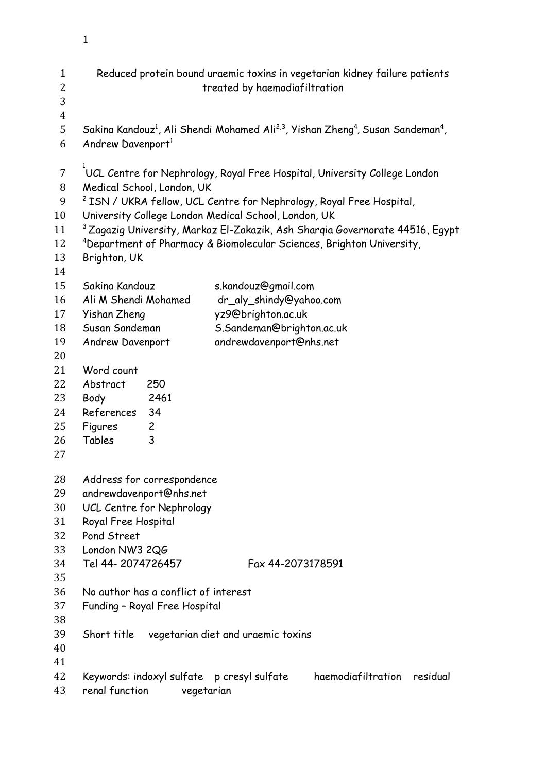| $\mathbf{1}$<br>2<br>3   |                               |                                      | treated by haemodiafiltration                        | Reduced protein bound uraemic toxins in vegetarian kidney failure patients                                                      |          |
|--------------------------|-------------------------------|--------------------------------------|------------------------------------------------------|---------------------------------------------------------------------------------------------------------------------------------|----------|
| $\overline{4}$<br>5<br>6 | Andrew Davenport <sup>1</sup> |                                      |                                                      | Sakina Kandouz <sup>1</sup> , Ali Shendi Mohamed Ali <sup>2,3</sup> , Yishan Zheng <sup>4</sup> , Susan Sandeman <sup>4</sup> , |          |
|                          |                               |                                      |                                                      |                                                                                                                                 |          |
| $\overline{7}$           |                               |                                      |                                                      | UCL Centre for Nephrology, Royal Free Hospital, University College London                                                       |          |
| 8                        |                               | Medical School, London, UK           |                                                      |                                                                                                                                 |          |
| 9                        |                               |                                      |                                                      | <sup>2</sup> ISN / UKRA fellow, UCL Centre for Nephrology, Royal Free Hospital,                                                 |          |
| 10                       |                               |                                      | University College London Medical School, London, UK |                                                                                                                                 |          |
| 11                       |                               |                                      |                                                      | <sup>3</sup> Zagazig University, Markaz El-Zakazik, Ash Sharqia Governorate 44516, Egypt                                        |          |
| 12                       |                               |                                      |                                                      | <sup>4</sup> Department of Pharmacy & Biomolecular Sciences, Brighton University,                                               |          |
| 13                       | Brighton, UK                  |                                      |                                                      |                                                                                                                                 |          |
| 14                       |                               |                                      |                                                      |                                                                                                                                 |          |
| 15                       | Sakina Kandouz                |                                      | s.kandouz@gmail.com                                  |                                                                                                                                 |          |
| 16                       | Ali M Shendi Mohamed          |                                      | dr_aly_shindy@yahoo.com                              |                                                                                                                                 |          |
| 17                       | Yishan Zheng                  |                                      | yz9@brighton.ac.uk                                   |                                                                                                                                 |          |
| 18                       | Susan Sandeman                |                                      | S.Sandeman@brighton.ac.uk                            |                                                                                                                                 |          |
| 19                       | Andrew Davenport              |                                      | andrewdavenport@nhs.net                              |                                                                                                                                 |          |
| 20                       |                               |                                      |                                                      |                                                                                                                                 |          |
| 21                       | Word count                    |                                      |                                                      |                                                                                                                                 |          |
| 22                       | Abstract                      | 250                                  |                                                      |                                                                                                                                 |          |
| 23                       | Body                          | 2461                                 |                                                      |                                                                                                                                 |          |
| 24                       | References                    | 34                                   |                                                      |                                                                                                                                 |          |
| 25<br>26                 | Figures<br>Tables             | $\overline{c}$<br>3                  |                                                      |                                                                                                                                 |          |
| 27                       |                               |                                      |                                                      |                                                                                                                                 |          |
| 28                       |                               | Address for correspondence           |                                                      |                                                                                                                                 |          |
| 29                       |                               | andrewdavenport@nhs.net              |                                                      |                                                                                                                                 |          |
| 30                       |                               | UCL Centre for Nephrology            |                                                      |                                                                                                                                 |          |
| 31                       | Royal Free Hospital           |                                      |                                                      |                                                                                                                                 |          |
| 32                       | Pond Street                   |                                      |                                                      |                                                                                                                                 |          |
| 33                       | London NW3 2QG                |                                      |                                                      |                                                                                                                                 |          |
| 34                       | Tel 44-2074726457             |                                      | Fax 44-2073178591                                    |                                                                                                                                 |          |
| 35                       |                               |                                      |                                                      |                                                                                                                                 |          |
| 36                       |                               | No author has a conflict of interest |                                                      |                                                                                                                                 |          |
| 37                       |                               | Funding - Royal Free Hospital        |                                                      |                                                                                                                                 |          |
| 38                       |                               |                                      |                                                      |                                                                                                                                 |          |
| 39                       | Short title                   |                                      | vegetarian diet and uraemic toxins                   |                                                                                                                                 |          |
| 40                       |                               |                                      |                                                      |                                                                                                                                 |          |
| 41                       |                               |                                      |                                                      |                                                                                                                                 |          |
| 42                       |                               |                                      | Keywords: indoxyl sulfate p cresyl sulfate           | haemodiafiltration                                                                                                              | residual |
| 43                       | renal function                | vegetarian                           |                                                      |                                                                                                                                 |          |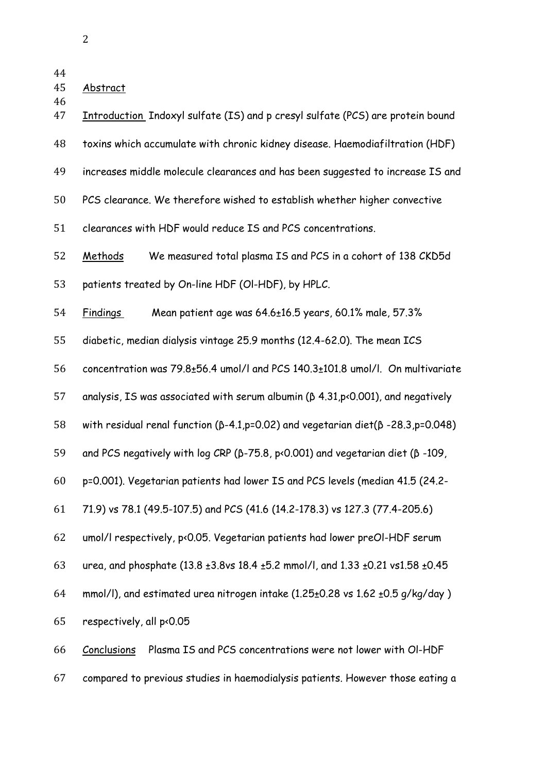| v<br>I<br>i<br>I |
|------------------|
| I<br>I           |

| 44<br>45 | Abstract                                                                                          |
|----------|---------------------------------------------------------------------------------------------------|
| 46<br>47 | Introduction Indoxyl sulfate (IS) and p cresyl sulfate (PCS) are protein bound                    |
| 48       | toxins which accumulate with chronic kidney disease. Haemodiafiltration (HDF)                     |
| 49       | increases middle molecule clearances and has been suggested to increase IS and                    |
| 50       | PCS clearance. We therefore wished to establish whether higher convective                         |
| 51       | clearances with HDF would reduce IS and PCS concentrations.                                       |
| 52       | We measured total plasma IS and PCS in a cohort of 138 CKD5d<br><u>Methods</u>                    |
| 53       | patients treated by On-line HDF (OI-HDF), by HPLC.                                                |
| 54       | <b>Findings</b><br>Mean patient age was 64.6±16.5 years, 60.1% male, 57.3%                        |
| 55       | diabetic, median dialysis vintage 25.9 months (12.4-62.0). The mean ICS                           |
| 56       | concentration was 79.8±56.4 umol/l and PCS 140.3±101.8 umol/l. On multivariate                    |
| 57       | analysis, IS was associated with serum albumin ( $\beta$ 4.31, $p$ <0.001), and negatively        |
| 58       | with residual renal function ( $\beta$ -4.1, p=0.02) and vegetarian diet( $\beta$ -28.3, p=0.048) |
| 59       | and PCS negatively with log CRP ( $\beta$ -75.8, p<0.001) and vegetarian diet ( $\beta$ -109,     |
| 60       | p=0.001). Vegetarian patients had lower IS and PCS levels (median 41.5 (24.2-                     |
| 61       | 71.9) vs 78.1 (49.5-107.5) and PCS (41.6 (14.2-178.3) vs 127.3 (77.4-205.6)                       |
| 62       | umol/l respectively, p<0.05. Vegetarian patients had lower preOl-HDF serum                        |
| 63       | urea, and phosphate (13.8 ±3.8vs 18.4 ±5.2 mmol/l, and 1.33 ±0.21 vs1.58 ±0.45                    |
| 64       | mmol/l), and estimated urea nitrogen intake (1.25±0.28 vs 1.62 ±0.5 g/kg/day)                     |
| 65       | respectively, all p<0.05                                                                          |
| 66       | Plasma IS and PCS concentrations were not lower with OI-HDF<br><b>Conclusions</b>                 |
| 67       | compared to previous studies in haemodialysis patients. However those eating a                    |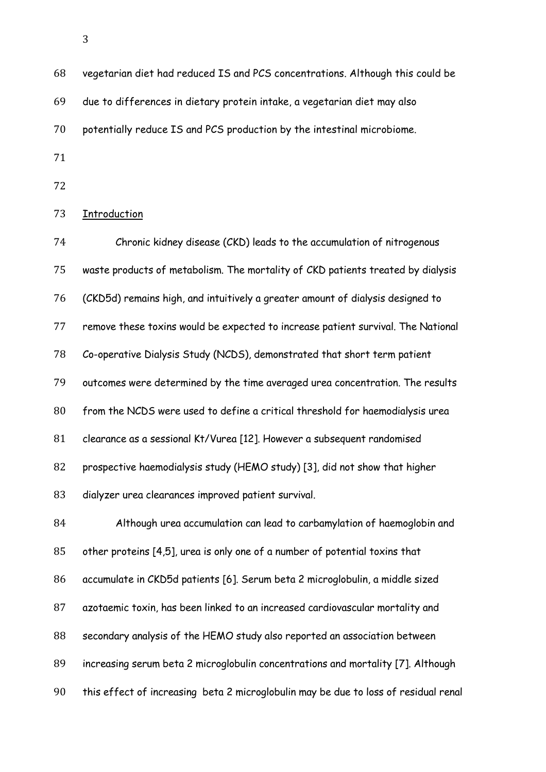Introduction

| 68 | vegetarian diet had reduced IS and PCS concentrations. Although this could be |
|----|-------------------------------------------------------------------------------|
| 69 | due to differences in dietary protein intake, a vegetarian diet may also      |
| 70 | potentially reduce IS and PCS production by the intestinal microbiome.        |
| 71 |                                                                               |
| 72 |                                                                               |
|    |                                                                               |

## Chronic kidney disease (CKD) leads to the accumulation of nitrogenous waste products of metabolism. The mortality of CKD patients treated by dialysis (CKD5d) remains high, and intuitively a greater amount of dialysis designed to remove these toxins would be expected to increase patient survival. The National Co-operative Dialysis Study (NCDS), demonstrated that short term patient outcomes were determined by the time averaged urea concentration. The results from the NCDS were used to define a critical threshold for haemodialysis urea clearance as a sessional Kt/Vurea [12]. However a subsequent randomised prospective haemodialysis study (HEMO study) [3], did not show that higher dialyzer urea clearances improved patient survival.

 Although urea accumulation can lead to carbamylation of haemoglobin and other proteins [4,5], urea is only one of a number of potential toxins that accumulate in CKD5d patients [6]. Serum beta 2 microglobulin, a middle sized azotaemic toxin, has been linked to an increased cardiovascular mortality and secondary analysis of the HEMO study also reported an association between increasing serum beta 2 microglobulin concentrations and mortality [7]. Although this effect of increasing beta 2 microglobulin may be due to loss of residual renal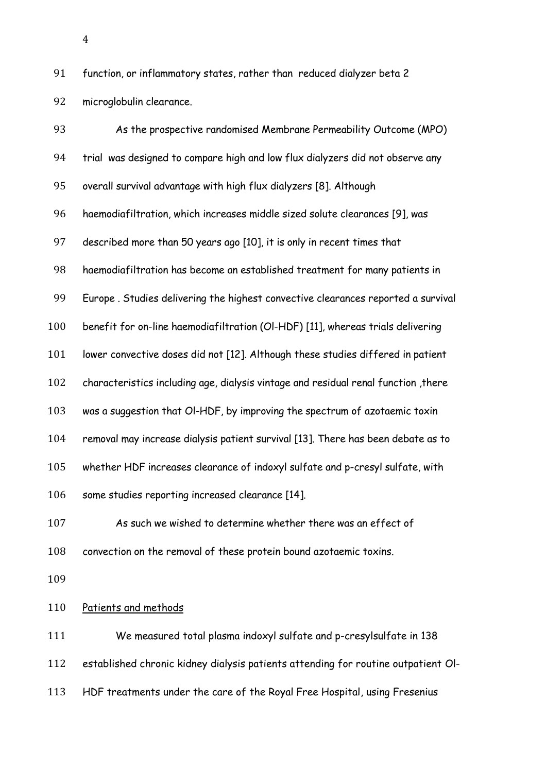function, or inflammatory states, rather than reduced dialyzer beta 2 microglobulin clearance.

| 93  | As the prospective randomised Membrane Permeability Outcome (MPO)                  |
|-----|------------------------------------------------------------------------------------|
| 94  | trial was designed to compare high and low flux dialyzers did not observe any      |
| 95  | overall survival advantage with high flux dialyzers [8]. Although                  |
| 96  | haemodiafiltration, which increases middle sized solute clearances [9], was        |
| 97  | described more than 50 years ago [10], it is only in recent times that             |
| 98  | haemodiafiltration has become an established treatment for many patients in        |
| 99  | Europe. Studies delivering the highest convective clearances reported a survival   |
| 100 | benefit for on-line haemodiafiltration (OI-HDF) [11], whereas trials delivering    |
| 101 | lower convective doses did not [12]. Although these studies differed in patient    |
| 102 | characteristics including age, dialysis vintage and residual renal function, there |
| 103 | was a suggestion that OI-HDF, by improving the spectrum of azotaemic toxin         |
| 104 | removal may increase dialysis patient survival [13]. There has been debate as to   |
| 105 | whether HDF increases clearance of indoxyl sulfate and p-cresyl sulfate, with      |
| 106 | some studies reporting increased clearance [14].                                   |
| 107 | As such we wished to determine whether there was an effect of                      |
| 108 | convection on the removal of these protein bound azotaemic toxins.                 |
| 109 |                                                                                    |
| 110 | Patients and methods                                                               |
| 111 | We measured total plasma indoxyl sulfate and p-cresylsulfate in 138                |
| 112 | established chronic kidney dialysis patients attending for routine outpatient Ol-  |
|     |                                                                                    |

HDF treatments under the care of the Royal Free Hospital, using Fresenius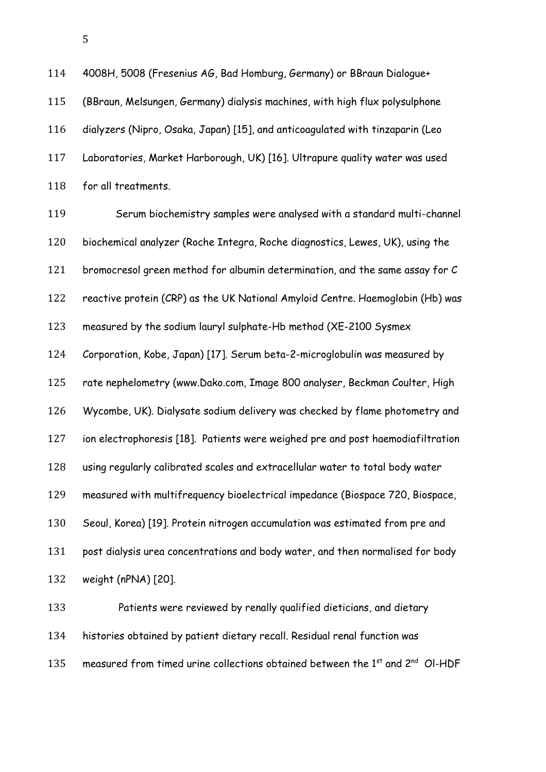| 114 | 4008H, 5008 (Fresenius AG, Bad Homburg, Germany) or BBraun Dialogue+                                  |
|-----|-------------------------------------------------------------------------------------------------------|
| 115 | (BBraun, Melsungen, Germany) dialysis machines, with high flux polysulphone                           |
| 116 | dialyzers (Nipro, Osaka, Japan) [15], and anticoagulated with tinzaparin (Leo                         |
| 117 | Laboratories, Market Harborough, UK) [16]. Ultrapure quality water was used                           |
| 118 | for all treatments.                                                                                   |
| 119 | Serum biochemistry samples were analysed with a standard multi-channel                                |
| 120 | biochemical analyzer (Roche Integra, Roche diagnostics, Lewes, UK), using the                         |
| 121 | bromocresol green method for albumin determination, and the same assay for C                          |
| 122 | reactive protein (CRP) as the UK National Amyloid Centre. Haemoglobin (Hb) was                        |
| 123 | measured by the sodium lauryl sulphate-Hb method (XE-2100 Sysmex                                      |
| 124 | Corporation, Kobe, Japan) [17]. Serum beta-2-microglobulin was measured by                            |
| 125 | rate nephelometry (www.Dako.com, Image 800 analyser, Beckman Coulter, High                            |
| 126 | Wycombe, UK). Dialysate sodium delivery was checked by flame photometry and                           |
| 127 | ion electrophoresis [18]. Patients were weighed pre and post haemodiafiltration                       |
| 128 | using regularly calibrated scales and extracellular water to total body water                         |
| 129 | measured with multifrequency bioelectrical impedance (Biospace 720, Biospace,                         |
| 130 | Seoul, Korea) [19]. Protein nitrogen accumulation was estimated from pre and                          |
| 131 | post dialysis urea concentrations and body water, and then normalised for body                        |
| 132 | weight (nPNA) [20].                                                                                   |
| 133 | Patients were reviewed by renally qualified dieticians, and dietary                                   |
| 134 | histories obtained by patient dietary recall. Residual renal function was                             |
| 135 | measured from timed urine collections obtained between the 1 <sup>st</sup> and 2 <sup>nd</sup> OI-HDF |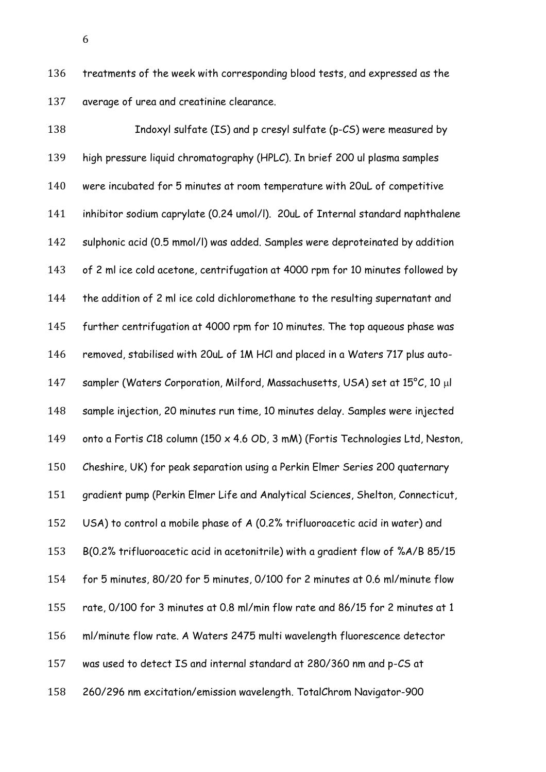treatments of the week with corresponding blood tests, and expressed as the average of urea and creatinine clearance.

 Indoxyl sulfate (IS) and p cresyl sulfate (p-CS) were measured by high pressure liquid chromatography (HPLC). In brief 200 ul plasma samples were incubated for 5 minutes at room temperature with 20uL of competitive inhibitor sodium caprylate (0.24 umol/l). 20uL of Internal standard naphthalene sulphonic acid (0.5 mmol/l) was added. Samples were deproteinated by addition of 2 ml ice cold acetone, centrifugation at 4000 rpm for 10 minutes followed by the addition of 2 ml ice cold dichloromethane to the resulting supernatant and further centrifugation at 4000 rpm for 10 minutes. The top aqueous phase was removed, stabilised with 20uL of 1M HCl and placed in a Waters 717 plus auto-147 sampler (Waters Corporation, Milford, Massachusetts, USA) set at 15°C, 10 µl sample injection, 20 minutes run time, 10 minutes delay. Samples were injected onto a Fortis C18 column (150 x 4.6 OD, 3 mM) (Fortis Technologies Ltd, Neston, Cheshire, UK) for peak separation using a Perkin Elmer Series 200 quaternary gradient pump (Perkin Elmer Life and Analytical Sciences, Shelton, Connecticut, USA) to control a mobile phase of A (0.2% trifluoroacetic acid in water) and B(0.2% trifluoroacetic acid in acetonitrile) with a gradient flow of %A/B 85/15 for 5 minutes, 80/20 for 5 minutes, 0/100 for 2 minutes at 0.6 ml/minute flow rate, 0/100 for 3 minutes at 0.8 ml/min flow rate and 86/15 for 2 minutes at 1 ml/minute flow rate. A Waters 2475 multi wavelength fluorescence detector was used to detect IS and internal standard at 280/360 nm and p-CS at 260/296 nm excitation/emission wavelength. TotalChrom Navigator-900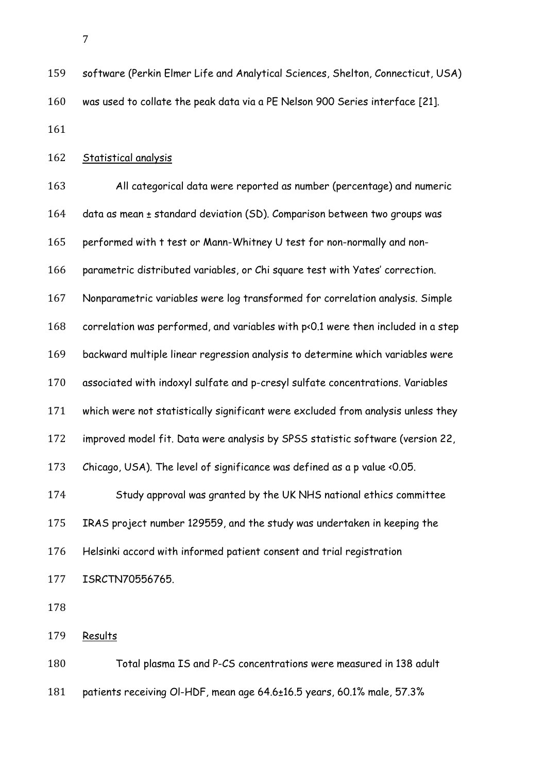| 159 | software (Perkin Elmer Life and Analytical Sciences, Shelton, Connecticut, USA) |
|-----|---------------------------------------------------------------------------------|
| 160 | was used to collate the peak data via a PE Nelson 900 Series interface [21].    |
| 161 |                                                                                 |

Statistical analysis

 All categorical data were reported as number (percentage) and numeric 164 data as mean ± standard deviation (SD). Comparison between two groups was performed with t test or Mann-Whitney U test for non-normally and non- parametric distributed variables, or Chi square test with Yates' correction. Nonparametric variables were log transformed for correlation analysis. Simple correlation was performed, and variables with p<0.1 were then included in a step backward multiple linear regression analysis to determine which variables were associated with indoxyl sulfate and p-cresyl sulfate concentrations. Variables which were not statistically significant were excluded from analysis unless they improved model fit. Data were analysis by SPSS statistic software (version 22, Chicago, USA). The level of significance was defined as a p value <0.05. Study approval was granted by the UK NHS national ethics committee IRAS project number 129559, and the study was undertaken in keeping the Helsinki accord with informed patient consent and trial registration ISRCTN70556765. Results

 Total plasma IS and P-CS concentrations were measured in 138 adult 181 patients receiving OI-HDF, mean age 64.6±16.5 years, 60.1% male, 57.3%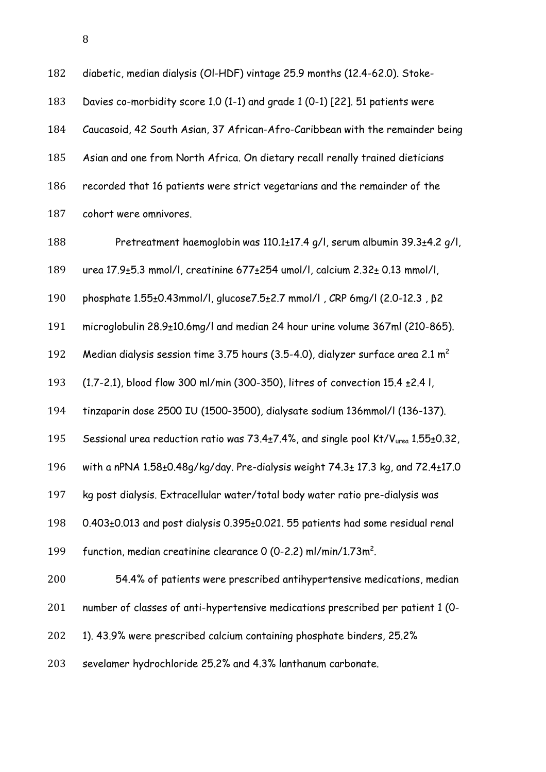| 182 | diabetic, median dialysis (OI-HDF) vintage 25.9 months (12.4-62.0). Stoke-                   |
|-----|----------------------------------------------------------------------------------------------|
| 183 | Davies co-morbidity score 1.0 (1-1) and grade 1 (0-1) [22]. 51 patients were                 |
| 184 | Caucasoid, 42 South Asian, 37 African-Afro-Caribbean with the remainder being                |
| 185 | Asian and one from North Africa. On dietary recall renally trained dieticians                |
| 186 | recorded that 16 patients were strict vegetarians and the remainder of the                   |
| 187 | cohort were omnivores.                                                                       |
| 188 | Pretreatment haemoglobin was 110.1±17.4 g/l, serum albumin 39.3±4.2 g/l,                     |
| 189 | urea 17.9 $\pm$ 5.3 mmol/l, creatinine 677 $\pm$ 254 umol/l, calcium 2.32 $\pm$ 0.13 mmol/l, |
| 190 | phosphate 1.55±0.43mmol/l, glucose7.5±2.7 mmol/l, CRP 6mg/l (2.0-12.3, β2                    |
| 191 | microglobulin 28.9±10.6mg/l and median 24 hour urine volume 367ml (210-865).                 |
| 192 | Median dialysis session time 3.75 hours (3.5-4.0), dialyzer surface area 2.1 $m^2$           |
| 193 | $(1.7-2.1)$ , blood flow 300 ml/min (300-350), litres of convection 15.4 $\pm$ 2.4 l,        |
| 194 | tinzaparin dose 2500 IU (1500-3500), dialysate sodium 136mmol/l (136-137).                   |
| 195 | Sessional urea reduction ratio was 73.4±7.4%, and single pool Kt/Vurea 1.55±0.32,            |
| 196 | with a nPNA 1.58±0.48g/kg/day. Pre-dialysis weight 74.3± 17.3 kg, and 72.4±17.0              |
| 197 | kg post dialysis. Extracellular water/total body water ratio pre-dialysis was                |
| 198 | 0.403±0.013 and post dialysis 0.395±0.021. 55 patients had some residual renal               |
| 199 | function, median creatinine clearance 0 (0-2.2) ml/min/1.73m <sup>2</sup> .                  |
| 200 | 54.4% of patients were prescribed antihypertensive medications, median                       |
| 201 | number of classes of anti-hypertensive medications prescribed per patient 1 (O-              |
| 202 | 1). 43.9% were prescribed calcium containing phosphate binders, 25.2%                        |

sevelamer hydrochloride 25.2% and 4.3% lanthanum carbonate.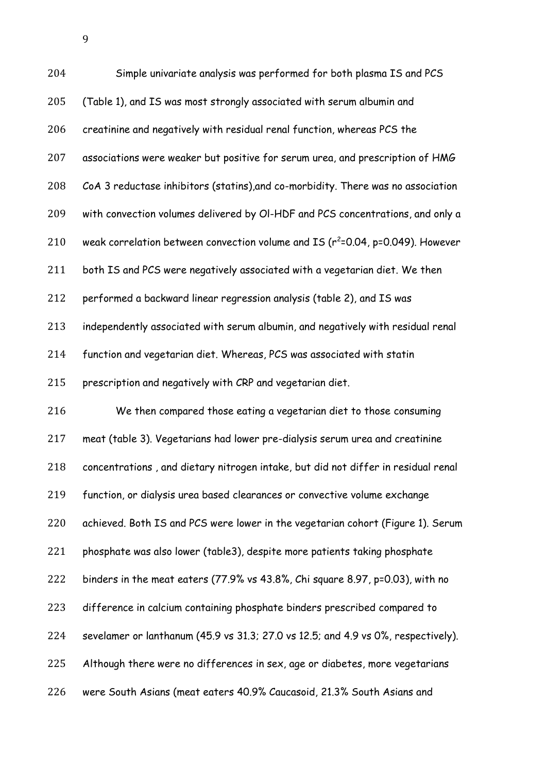| 204 | Simple univariate analysis was performed for both plasma IS and PCS                |
|-----|------------------------------------------------------------------------------------|
| 205 | (Table 1), and IS was most strongly associated with serum albumin and              |
| 206 | creatinine and negatively with residual renal function, whereas PCS the            |
| 207 | associations were weaker but positive for serum urea, and prescription of HMG      |
| 208 | CoA 3 reductase inhibitors (statins), and co-morbidity. There was no association   |
| 209 | with convection volumes delivered by OI-HDF and PCS concentrations, and only a     |
| 210 | weak correlation between convection volume and IS ( $r^2$ =0.04, p=0.049). However |
| 211 | both IS and PCS were negatively associated with a vegetarian diet. We then         |
| 212 | performed a backward linear regression analysis (table 2), and IS was              |
| 213 | independently associated with serum albumin, and negatively with residual renal    |
| 214 | function and vegetarian diet. Whereas, PCS was associated with statin              |
| 215 | prescription and negatively with CRP and vegetarian diet.                          |
| 216 | We then compared those eating a vegetarian diet to those consuming                 |
| 217 | meat (table 3). Vegetarians had lower pre-dialysis serum urea and creatinine       |
| 218 | concentrations, and dietary nitrogen intake, but did not differ in residual renal  |
| 219 | function, or dialysis urea based clearances or convective volume exchange          |
| 220 | achieved. Both IS and PCS were lower in the vegetarian cohort (Figure 1). Serum    |
| 221 | phosphate was also lower (table3), despite more patients taking phosphate          |
| 222 | binders in the meat eaters (77.9% vs 43.8%, Chi square 8.97, p=0.03), with no      |
| 223 | difference in calcium containing phosphate binders prescribed compared to          |
| 224 | sevelamer or lanthanum (45.9 vs 31.3; 27.0 vs 12.5; and 4.9 vs 0%, respectively).  |
| 225 | Although there were no differences in sex, age or diabetes, more vegetarians       |
| 226 | were South Asians (meat eaters 40.9% Caucasoid, 21.3% South Asians and             |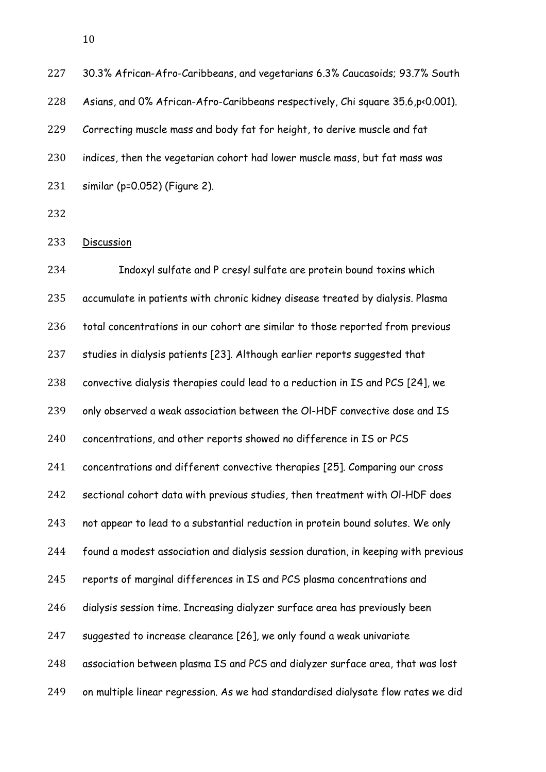| 227 | 30.3% African-Afro-Caribbeans, and vegetarians 6.3% Caucasoids; 93.7% South        |
|-----|------------------------------------------------------------------------------------|
| 228 | Asians, and 0% African-Afro-Caribbeans respectively, Chi square 35.6, p<0.001).    |
| 229 | Correcting muscle mass and body fat for height, to derive muscle and fat           |
| 230 | indices, then the vegetarian cohort had lower muscle mass, but fat mass was        |
| 231 | similar (p=0.052) (Figure 2).                                                      |
| 232 |                                                                                    |
| 233 | Discussion                                                                         |
| 234 | Indoxyl sulfate and P cresyl sulfate are protein bound toxins which                |
| 235 | accumulate in patients with chronic kidney disease treated by dialysis. Plasma     |
| 236 | total concentrations in our cohort are similar to those reported from previous     |
| 237 | studies in dialysis patients [23]. Although earlier reports suggested that         |
| 238 | convective dialysis therapies could lead to a reduction in IS and PCS [24], we     |
| 239 | only observed a weak association between the OI-HDF convective dose and IS         |
| 240 | concentrations, and other reports showed no difference in IS or PCS                |
| 241 | concentrations and different convective therapies [25]. Comparing our cross        |
| 242 | sectional cohort data with previous studies, then treatment with OI-HDF does       |
| 243 | not appear to lead to a substantial reduction in protein bound solutes. We only    |
| 244 | found a modest association and dialysis session duration, in keeping with previous |
| 245 | reports of marginal differences in IS and PCS plasma concentrations and            |
| 246 | dialysis session time. Increasing dialyzer surface area has previously been        |
| 247 | suggested to increase clearance [26], we only found a weak univariate              |
| 248 | association between plasma IS and PCS and dialyzer surface area, that was lost     |
| 249 | on multiple linear regression. As we had standardised dialysate flow rates we did  |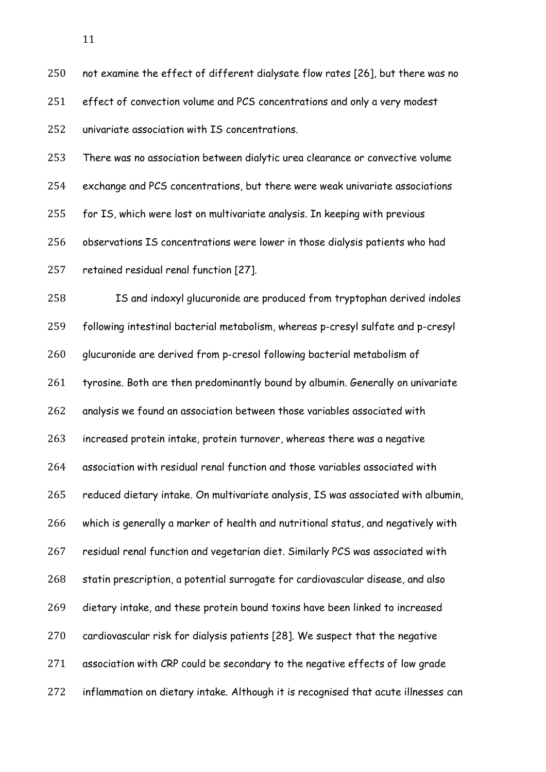not examine the effect of different dialysate flow rates [26], but there was no effect of convection volume and PCS concentrations and only a very modest univariate association with IS concentrations. There was no association between dialytic urea clearance or convective volume exchange and PCS concentrations, but there were weak univariate associations for IS, which were lost on multivariate analysis. In keeping with previous

 observations IS concentrations were lower in those dialysis patients who had retained residual renal function [27].

 IS and indoxyl glucuronide are produced from tryptophan derived indoles following intestinal bacterial metabolism, whereas p-cresyl sulfate and p-cresyl 260 glucuronide are derived from p-cresol following bacterial metabolism of 261 tyrosine. Both are then predominantly bound by albumin. Generally on univariate analysis we found an association between those variables associated with increased protein intake, protein turnover, whereas there was a negative association with residual renal function and those variables associated with reduced dietary intake. On multivariate analysis, IS was associated with albumin, which is generally a marker of health and nutritional status, and negatively with residual renal function and vegetarian diet. Similarly PCS was associated with statin prescription, a potential surrogate for cardiovascular disease, and also dietary intake, and these protein bound toxins have been linked to increased cardiovascular risk for dialysis patients [28]. We suspect that the negative association with CRP could be secondary to the negative effects of low grade inflammation on dietary intake. Although it is recognised that acute illnesses can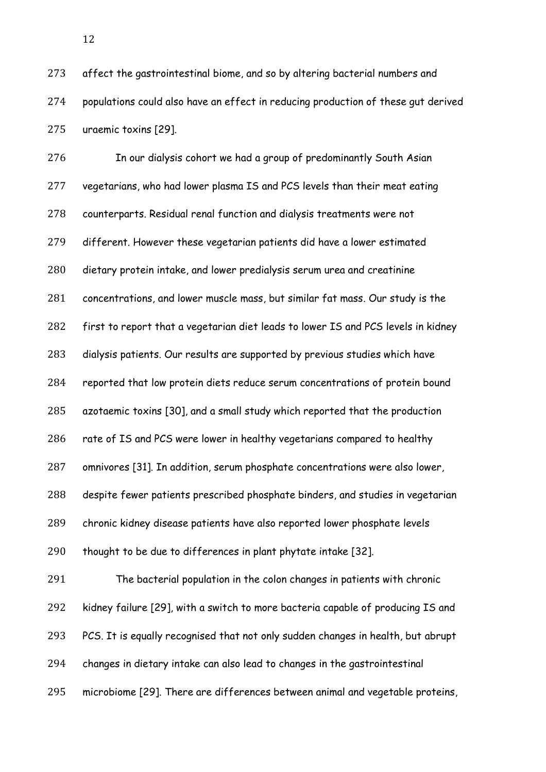affect the gastrointestinal biome, and so by altering bacterial numbers and populations could also have an effect in reducing production of these gut derived uraemic toxins [29].

 In our dialysis cohort we had a group of predominantly South Asian vegetarians, who had lower plasma IS and PCS levels than their meat eating counterparts. Residual renal function and dialysis treatments were not different. However these vegetarian patients did have a lower estimated dietary protein intake, and lower predialysis serum urea and creatinine concentrations, and lower muscle mass, but similar fat mass. Our study is the first to report that a vegetarian diet leads to lower IS and PCS levels in kidney dialysis patients. Our results are supported by previous studies which have reported that low protein diets reduce serum concentrations of protein bound azotaemic toxins [30], and a small study which reported that the production 286 rate of IS and PCS were lower in healthy vegetarians compared to healthy omnivores [31]. In addition, serum phosphate concentrations were also lower, despite fewer patients prescribed phosphate binders, and studies in vegetarian chronic kidney disease patients have also reported lower phosphate levels thought to be due to differences in plant phytate intake [32]. The bacterial population in the colon changes in patients with chronic kidney failure [29], with a switch to more bacteria capable of producing IS and PCS. It is equally recognised that not only sudden changes in health, but abrupt changes in dietary intake can also lead to changes in the gastrointestinal microbiome [29]. There are differences between animal and vegetable proteins,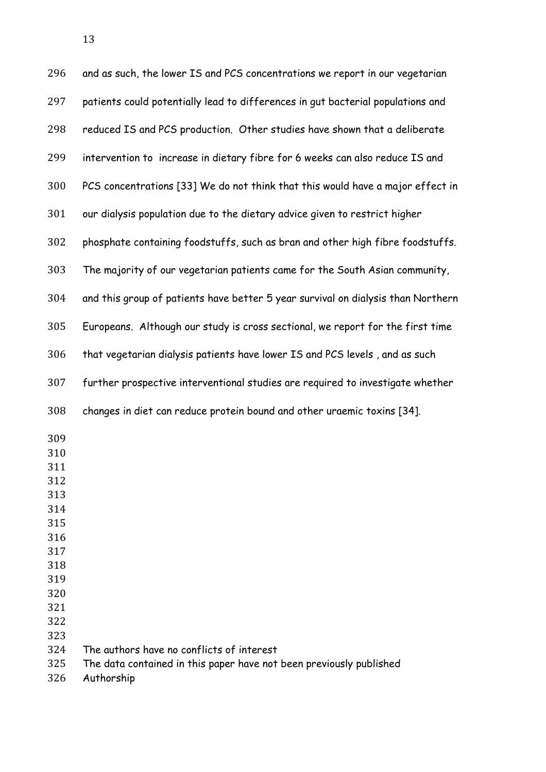| 296 | and as such, the lower IS and PCS concentrations we report in our vegetarian     |
|-----|----------------------------------------------------------------------------------|
| 297 | patients could potentially lead to differences in gut bacterial populations and  |
| 298 | reduced IS and PCS production. Other studies have shown that a deliberate        |
| 299 | intervention to increase in dietary fibre for 6 weeks can also reduce IS and     |
| 300 | PCS concentrations [33] We do not think that this would have a major effect in   |
| 301 | our dialysis population due to the dietary advice given to restrict higher       |
| 302 | phosphate containing foodstuffs, such as bran and other high fibre foodstuffs.   |
| 303 | The majority of our vegetarian patients came for the South Asian community,      |
| 304 | and this group of patients have better 5 year survival on dialysis than Northern |
| 305 | Europeans. Although our study is cross sectional, we report for the first time   |
| 306 | that vegetarian dialysis patients have lower IS and PCS levels, and as such      |
| 307 | further prospective interventional studies are required to investigate whether   |
| 308 | changes in diet can reduce protein bound and other uraemic toxins [34].          |
| 309 |                                                                                  |
| 310 |                                                                                  |
| 311 |                                                                                  |
| 312 |                                                                                  |
| 313 |                                                                                  |
| 314 |                                                                                  |
| 315 |                                                                                  |
| 316 |                                                                                  |
| 317 |                                                                                  |
| 318 |                                                                                  |
| 319 |                                                                                  |
| 320 |                                                                                  |
| 321 |                                                                                  |
| 322 |                                                                                  |
| 323 |                                                                                  |
| 324 | The authors have no conflicts of interest                                        |
| 325 | The data contained in this paper have not been previously published              |
| 326 | Authorship                                                                       |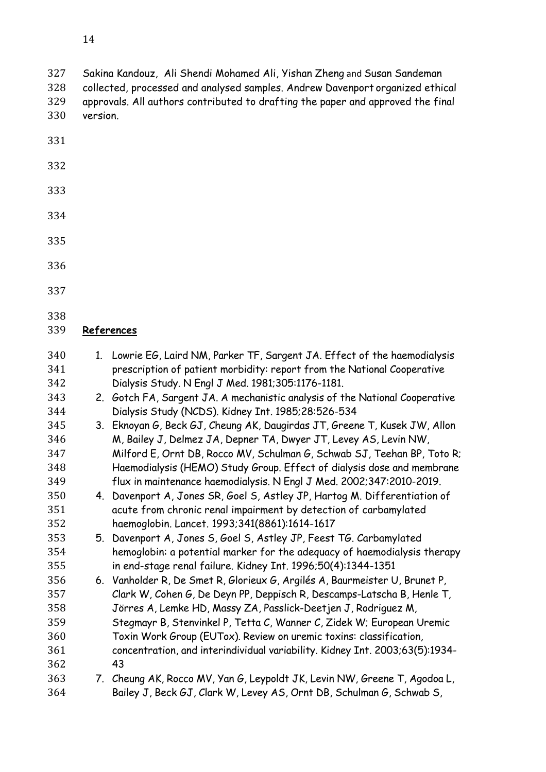## Sakina Kandouz, Ali Shendi Mohamed Ali, Yishan Zheng and Susan Sandeman collected, processed and analysed samples. Andrew Davenport organized ethical approvals. All authors contributed to drafting the paper and approved the final version. **References** 1. Lowrie EG, Laird NM, Parker TF, Sargent JA. Effect of the haemodialysis prescription of patient morbidity: report from the National Cooperative Dialysis Study. N Engl J Med. 1981;305:1176-1181. 2. Gotch FA, Sargent JA. A mechanistic analysis of the National Cooperative Dialysis Study (NCDS). Kidney Int. 1985;28:526-534 3. Eknoyan G, Beck GJ, Cheung AK, Daugirdas JT, Greene T, Kusek JW, Allon M, Bailey J, Delmez JA, Depner TA, Dwyer JT, Levey AS, Levin NW, Milford E, Ornt DB, Rocco MV, Schulman G, Schwab SJ, Teehan BP, Toto R; Haemodialysis (HEMO) Study Group. Effect of dialysis dose and membrane flux in maintenance haemodialysis. N Engl J Med. 2002;347:2010-2019. 4. Davenport A, Jones SR, Goel S, Astley JP, Hartog M. Differentiation of acute from chronic renal impairment by detection of carbamylated haemoglobin. Lancet. 1993;341(8861):1614-1617 5. Davenport A, Jones S, Goel S, Astley JP, Feest TG. Carbamylated hemoglobin: a potential marker for the adequacy of haemodialysis therapy in end-stage renal failure. Kidney Int. 1996;50(4):1344-1351 6. Vanholder R, De Smet R, Glorieux G, Argilés A, Baurmeister U, Brunet P, Clark W, Cohen G, De Deyn PP, Deppisch R, Descamps-Latscha B, Henle T, Jörres A, Lemke HD, Massy ZA, Passlick-Deetjen J, Rodriguez M, Stegmayr B, Stenvinkel P, Tetta C, Wanner C, Zidek W; European Uremic Toxin Work Group (EUTox). Review on uremic toxins: classification, concentration, and interindividual variability. Kidney Int. 2003;63(5):1934- 43 7. Cheung AK, Rocco MV, Yan G, Leypoldt JK, Levin NW, Greene T, Agodoa L, Bailey J, Beck GJ, Clark W, Levey AS, Ornt DB, Schulman G, Schwab S,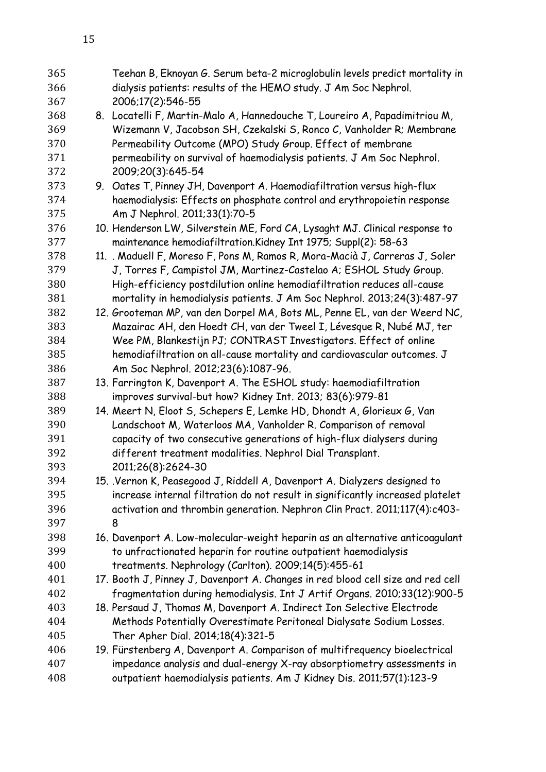| 365 | Teehan B, Eknoyan G. Serum beta-2 microglobulin levels predict mortality in     |
|-----|---------------------------------------------------------------------------------|
| 366 | dialysis patients: results of the HEMO study. J Am Soc Nephrol.                 |
| 367 | 2006;17(2):546-55                                                               |
| 368 | 8. Locatelli F, Martin-Malo A, Hannedouche T, Loureiro A, Papadimitriou M,      |
| 369 | Wizemann V, Jacobson SH, Czekalski S, Ronco C, Vanholder R; Membrane            |
| 370 | Permeability Outcome (MPO) Study Group. Effect of membrane                      |
| 371 | permeability on survival of haemodialysis patients. J Am Soc Nephrol.           |
| 372 | 2009;20(3):645-54                                                               |
| 373 | 9. Oates T, Pinney JH, Davenport A. Haemodiafiltration versus high-flux         |
| 374 | haemodialysis: Effects on phosphate control and erythropoietin response         |
| 375 | Am J Nephrol. 2011;33(1):70-5                                                   |
| 376 | 10. Henderson LW, Silverstein ME, Ford CA, Lysaght MJ. Clinical response to     |
| 377 | maintenance hemodiafiltration.Kidney Int 1975; Suppl(2): 58-63                  |
| 378 | 11. Maduell F, Moreso F, Pons M, Ramos R, Mora-Macià J, Carreras J, Soler       |
| 379 | J, Torres F, Campistol JM, Martinez-Castelao A; ESHOL Study Group.              |
| 380 | High-efficiency postdilution online hemodiafiltration reduces all-cause         |
| 381 | mortality in hemodialysis patients. J Am Soc Nephrol. 2013;24(3):487-97         |
| 382 | 12. Grooteman MP, van den Dorpel MA, Bots ML, Penne EL, van der Weerd NC,       |
| 383 | Mazairac AH, den Hoedt CH, van der Tweel I, Lévesque R, Nubé MJ, ter            |
| 384 | Wee PM, Blankestijn PJ; CONTRAST Investigators. Effect of online                |
| 385 | hemodiafiltration on all-cause mortality and cardiovascular outcomes. J         |
| 386 | Am Soc Nephrol. 2012;23(6):1087-96.                                             |
| 387 | 13. Farrington K, Davenport A. The ESHOL study: haemodiafiltration              |
| 388 | improves survival-but how? Kidney Int. 2013; 83(6):979-81                       |
| 389 | 14. Meert N, Eloot S, Schepers E, Lemke HD, Dhondt A, Glorieux G, Van           |
| 390 | Landschoot M, Waterloos MA, Vanholder R. Comparison of removal                  |
| 391 | capacity of two consecutive generations of high-flux dialysers during           |
| 392 | different treatment modalities. Nephrol Dial Transplant.                        |
| 393 | 2011;26(8):2624-30                                                              |
| 394 | 15. Vernon K, Peasegood J, Riddell A, Davenport A. Dialyzers designed to        |
| 395 | increase internal filtration do not result in significantly increased platelet  |
| 396 | activation and thrombin generation. Nephron Clin Pract. 2011;117(4):c403-       |
| 397 | 8                                                                               |
| 398 | 16. Davenport A. Low-molecular-weight heparin as an alternative anticoagulant   |
| 399 | to unfractionated heparin for routine outpatient haemodialysis                  |
| 400 | treatments. Nephrology (Carlton). 2009;14(5):455-61                             |
| 401 | 17. Booth J, Pinney J, Davenport A. Changes in red blood cell size and red cell |
| 402 | fragmentation during hemodialysis. Int J Artif Organs. 2010;33(12):900-5        |
| 403 | 18. Persaud J, Thomas M, Davenport A. Indirect Ion Selective Electrode          |
| 404 | Methods Potentially Overestimate Peritoneal Dialysate Sodium Losses.            |
| 405 | Ther Apher Dial. 2014;18(4):321-5                                               |
| 406 | 19. Fürstenberg A, Davenport A. Comparison of multifrequency bioelectrical      |
| 407 | impedance analysis and dual-energy X-ray absorptiometry assessments in          |
| 408 | outpatient haemodialysis patients. Am J Kidney Dis. 2011;57(1):123-9            |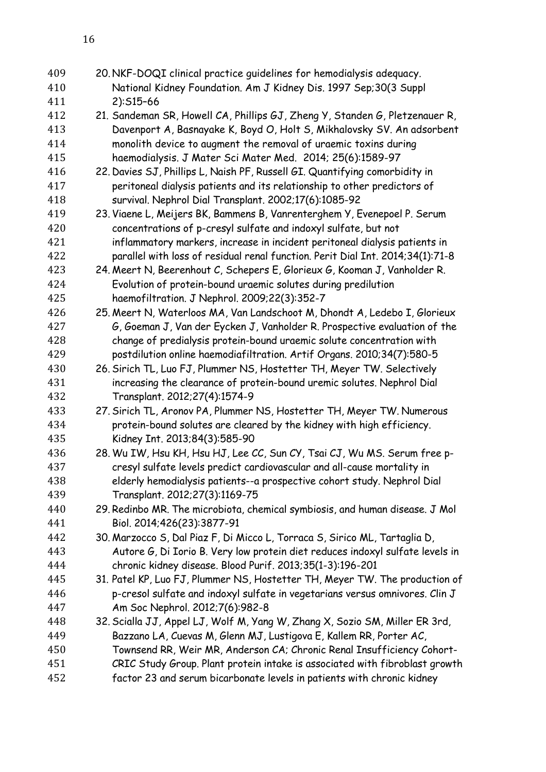| 409 | 20. NKF-DOQI clinical practice guidelines for hemodialysis adequacy.           |
|-----|--------------------------------------------------------------------------------|
| 410 | National Kidney Foundation. Am J Kidney Dis. 1997 Sep;30(3 Suppl               |
| 411 | $2):515-66$                                                                    |
| 412 | 21. Sandeman SR, Howell CA, Phillips GJ, Zheng Y, Standen G, Pletzenauer R,    |
| 413 | Davenport A, Basnayake K, Boyd O, Holt S, Mikhalovsky SV. An adsorbent         |
| 414 | monolith device to augment the removal of uraemic toxins during                |
| 415 | haemodialysis. J Mater Sci Mater Med. 2014; 25(6):1589-97                      |
| 416 | 22. Davies SJ, Phillips L, Naish PF, Russell GI. Quantifying comorbidity in    |
| 417 | peritoneal dialysis patients and its relationship to other predictors of       |
| 418 | survival. Nephrol Dial Transplant. 2002;17(6):1085-92                          |
| 419 | 23. Viaene L, Meijers BK, Bammens B, Vanrenterghem Y, Evenepoel P. Serum       |
| 420 | concentrations of p-cresyl sulfate and indoxyl sulfate, but not                |
| 421 | inflammatory markers, increase in incident peritoneal dialysis patients in     |
| 422 | parallel with loss of residual renal function. Perit Dial Int. 2014;34(1):71-8 |
| 423 | 24. Meert N, Beerenhout C, Schepers E, Glorieux G, Kooman J, Vanholder R.      |
| 424 | Evolution of protein-bound uraemic solutes during predilution                  |
| 425 | haemofiltration. J Nephrol. 2009;22(3):352-7                                   |
| 426 | 25. Meert N, Waterloos MA, Van Landschoot M, Dhondt A, Ledebo I, Glorieux      |
| 427 | G, Goeman J, Van der Eycken J, Vanholder R. Prospective evaluation of the      |
| 428 | change of predialysis protein-bound uraemic solute concentration with          |
| 429 | postdilution online haemodiafiltration. Artif Organs. 2010;34(7):580-5         |
| 430 | 26. Sirich TL, Luo FJ, Plummer NS, Hostetter TH, Meyer TW. Selectively         |
| 431 | increasing the clearance of protein-bound uremic solutes. Nephrol Dial         |
| 432 | Transplant. 2012;27(4):1574-9                                                  |
| 433 | 27. Sirich TL, Aronov PA, Plummer NS, Hostetter TH, Meyer TW. Numerous         |
| 434 | protein-bound solutes are cleared by the kidney with high efficiency.          |
| 435 | Kidney Int. 2013;84(3):585-90                                                  |
| 436 | 28. Wu IW, Hsu KH, Hsu HJ, Lee CC, Sun CY, Tsai CJ, Wu MS. Serum free p-       |
| 437 | cresyl sulfate levels predict cardiovascular and all-cause mortality in        |
| 438 | elderly hemodialysis patients--a prospective cohort study. Nephrol Dial        |
| 439 | Transplant. 2012;27(3):1169-75                                                 |
| 440 | 29. Redinbo MR. The microbiota, chemical symbiosis, and human disease. J Mol   |
| 441 | Biol. 2014;426(23):3877-91                                                     |
| 442 | 30. Marzocco S, Dal Piaz F, Di Micco L, Torraca S, Sirico ML, Tartaglia D,     |
| 443 | Autore G, Di Iorio B. Very low protein diet reduces indoxyl sulfate levels in  |
| 444 | chronic kidney disease. Blood Purif. 2013;35(1-3):196-201                      |
| 445 | 31. Patel KP, Luo FJ, Plummer NS, Hostetter TH, Meyer TW. The production of    |
| 446 | p-cresol sulfate and indoxyl sulfate in vegetarians versus omnivores. Clin J   |
| 447 | Am Soc Nephrol. 2012;7(6):982-8                                                |
| 448 | 32. Scialla JJ, Appel LJ, Wolf M, Yang W, Zhang X, Sozio SM, Miller ER 3rd,    |
| 449 | Bazzano LA, Cuevas M, Glenn MJ, Lustigova E, Kallem RR, Porter AC,             |
| 450 | Townsend RR, Weir MR, Anderson CA; Chronic Renal Insufficiency Cohort-         |
| 451 | CRIC Study Group. Plant protein intake is associated with fibroblast growth    |
| 452 | factor 23 and serum bicarbonate levels in patients with chronic kidney         |
|     |                                                                                |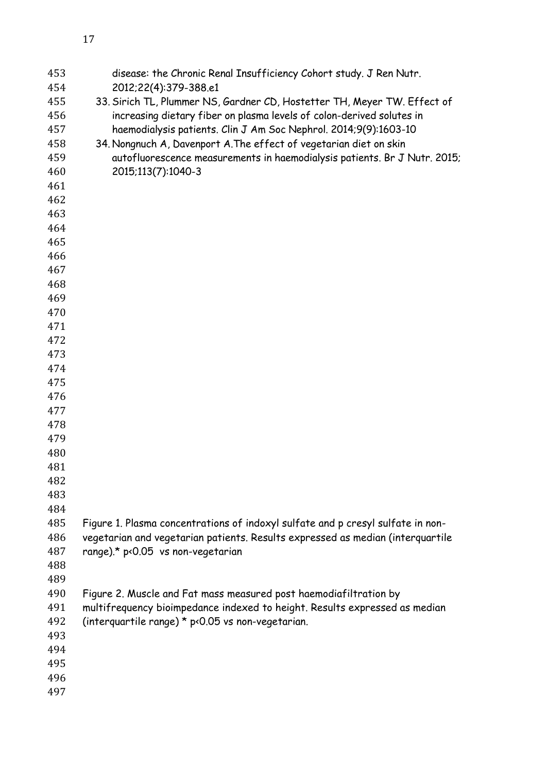| 453        | disease: the Chronic Renal Insufficiency Cohort study. J Ren Nutr.                                                                                |
|------------|---------------------------------------------------------------------------------------------------------------------------------------------------|
| 454        | 2012;22(4):379-388.e1                                                                                                                             |
| 455<br>456 | 33. Sirich TL, Plummer NS, Gardner CD, Hostetter TH, Meyer TW. Effect of<br>increasing dietary fiber on plasma levels of colon-derived solutes in |
| 457        | haemodialysis patients. Clin J Am Soc Nephrol. 2014;9(9):1603-10                                                                                  |
| 458        | 34. Nongnuch A, Davenport A. The effect of vegetarian diet on skin                                                                                |
| 459        | autofluorescence measurements in haemodialysis patients. Br J Nutr. 2015;                                                                         |
| 460        | 2015;113(7):1040-3                                                                                                                                |
| 461        |                                                                                                                                                   |
| 462        |                                                                                                                                                   |
| 463        |                                                                                                                                                   |
| 464        |                                                                                                                                                   |
| 465        |                                                                                                                                                   |
| 466        |                                                                                                                                                   |
| 467        |                                                                                                                                                   |
| 468        |                                                                                                                                                   |
| 469        |                                                                                                                                                   |
| 470        |                                                                                                                                                   |
| 471        |                                                                                                                                                   |
| 472        |                                                                                                                                                   |
| 473        |                                                                                                                                                   |
| 474        |                                                                                                                                                   |
| 475        |                                                                                                                                                   |
| 476        |                                                                                                                                                   |
| 477        |                                                                                                                                                   |
| 478        |                                                                                                                                                   |
| 479        |                                                                                                                                                   |
| 480        |                                                                                                                                                   |
| 481        |                                                                                                                                                   |
| 482        |                                                                                                                                                   |
| 483        |                                                                                                                                                   |
| 484        |                                                                                                                                                   |
| 485        |                                                                                                                                                   |
| 486        | Figure 1. Plasma concentrations of indoxyl sulfate and p cresyl sulfate in non-                                                                   |
| 487        | vegetarian and vegetarian patients. Results expressed as median (interquartile<br>range).* p<0.05 vs non-vegetarian                               |
| 488        |                                                                                                                                                   |
| 489        |                                                                                                                                                   |
| 490        |                                                                                                                                                   |
| 491        | Figure 2. Muscle and Fat mass measured post haemodiafiltration by                                                                                 |
| 492        | multifrequency bioimpedance indexed to height. Results expressed as median                                                                        |
|            | (interquartile range) * p<0.05 vs non-vegetarian.                                                                                                 |
| 493        |                                                                                                                                                   |
| 494        |                                                                                                                                                   |
| 495        |                                                                                                                                                   |
| 496        |                                                                                                                                                   |
| 497        |                                                                                                                                                   |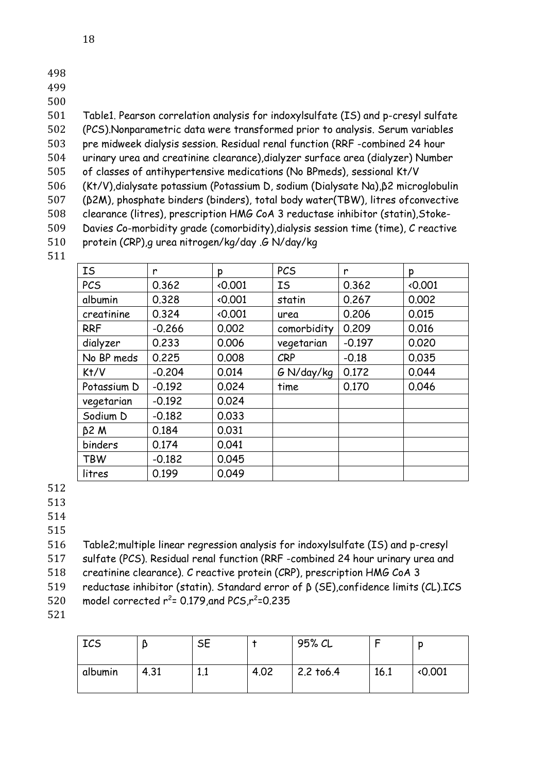- 498
- 499
- 500

501 Table1. Pearson correlation analysis for indoxylsulfate (IS) and p-cresyl sulfate 502 (PCS).Nonparametric data were transformed prior to analysis. Serum variables

503 pre midweek dialysis session. Residual renal function (RRF -combined 24 hour

504 urinary urea and creatinine clearance),dialyzer surface area (dialyzer) Number

- 505 of classes of antihypertensive medications (No BPmeds), sessional Kt/V
- 506 (Kt/V),dialysate potassium (Potassium D, sodium (Dialysate Na),β2 microglobulin
- 507 (β2M), phosphate binders (binders), total body water(TBW), litres ofconvective
- 508 clearance (litres), prescription HMG CoA 3 reductase inhibitor (statin),Stoke-

509 Davies Co-morbidity grade (comorbidity),dialysis session time (time), C reactive 510 protein (CRP),g urea nitrogen/kg/day .G N/day/kg

511

| IS          | r        | D     | <b>PCS</b>  | r        | Þ     |
|-------------|----------|-------|-------------|----------|-------|
| <b>PCS</b>  | 0.362    | 0.001 | IS          | 0.362    | 0.001 |
| albumin     | 0.328    | 0.001 | statin      | 0.267    | 0.002 |
| creatinine  | 0.324    | 0.001 | urea        | 0.206    | 0.015 |
| <b>RRF</b>  | $-0.266$ | 0.002 | comorbidity | 0.209    | 0.016 |
| dialyzer    | 0.233    | 0.006 | vegetarian  | $-0.197$ | 0.020 |
| No BP meds  | 0.225    | 0.008 | <b>CRP</b>  | $-0.18$  | 0.035 |
| Kt/V        | $-0.204$ | 0.014 | G N/day/kg  | 0.172    | 0.044 |
| Potassium D | $-0.192$ | 0.024 | time        | 0.170    | 0.046 |
| vegetarian  | $-0.192$ | 0.024 |             |          |       |
| Sodium D    | $-0.182$ | 0.033 |             |          |       |
| $\beta$ 2 M | 0.184    | 0.031 |             |          |       |
| binders     | 0.174    | 0.041 |             |          |       |
| <b>TBW</b>  | $-0.182$ | 0.045 |             |          |       |
| litres      | 0.199    | 0.049 |             |          |       |

512

513

514

515

516 Table2;multiple linear regression analysis for indoxylsulfate (IS) and p-cresyl

517 sulfate (PCS). Residual renal function (RRF -combined 24 hour urinary urea and

518 creatinine clearance). C reactive protein (CRP), prescription HMG CoA 3

519 reductase inhibitor (statin). Standard error of β (SE),confidence limits (CL).ICS

520 model corrected  $r^2$ = 0.179,and PCS, $r^2$ =0.235

| <b>ICS</b> |      | C <sub>2</sub><br>∟ت |      | 95% CL         |      |                 |
|------------|------|----------------------|------|----------------|------|-----------------|
| albumin    | 4.31 | ⊥.⊥                  | 4.02 | $2.2$ to $6.4$ | 16.1 | $\langle 0.001$ |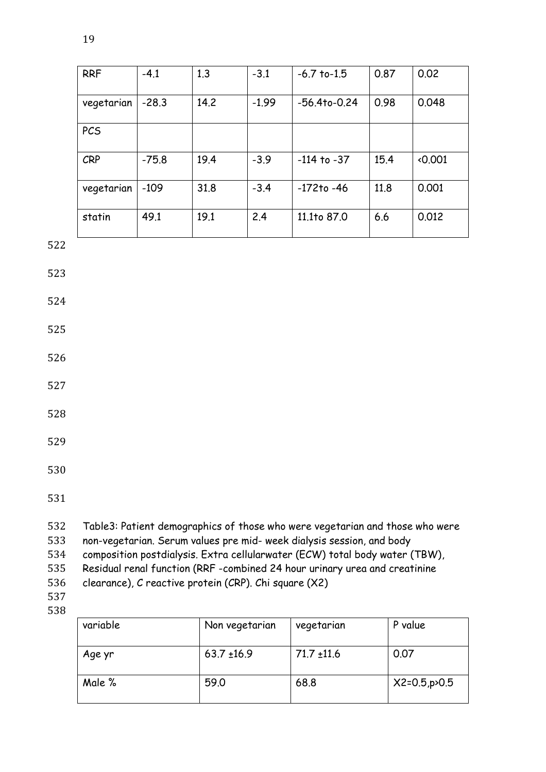|                          | <b>RRF</b><br>vegetarian<br><b>PCS</b><br><b>CRP</b>                                                                                                                                                                                                                                                               | $-4.1$<br>$-28.3$ | 1.3<br>14.2 | $-3.1$<br>$-1.99$ | $-6.7$ to-1.5<br>$-56.4$ to $-0.24$ | 0.87<br>0.98 | 0.02<br>0.048 |
|--------------------------|--------------------------------------------------------------------------------------------------------------------------------------------------------------------------------------------------------------------------------------------------------------------------------------------------------------------|-------------------|-------------|-------------------|-------------------------------------|--------------|---------------|
|                          |                                                                                                                                                                                                                                                                                                                    |                   |             |                   |                                     |              |               |
|                          |                                                                                                                                                                                                                                                                                                                    |                   |             |                   |                                     |              |               |
|                          |                                                                                                                                                                                                                                                                                                                    |                   |             |                   |                                     |              |               |
|                          |                                                                                                                                                                                                                                                                                                                    | $-75.8$           | 19.4        | $-3.9$            | $-114$ to $-37$                     | 15.4         | 0.001         |
|                          | vegetarian                                                                                                                                                                                                                                                                                                         | $-109$            | 31.8        | $-3.4$            | $-172$ to $-46$                     | 11.8         | 0.001         |
|                          | statin                                                                                                                                                                                                                                                                                                             | 49.1              | 19.1        | 2.4               | 11.1to 87.0                         | 6.6          | 0.012         |
| 522                      |                                                                                                                                                                                                                                                                                                                    |                   |             |                   |                                     |              |               |
| 523                      |                                                                                                                                                                                                                                                                                                                    |                   |             |                   |                                     |              |               |
| 524                      |                                                                                                                                                                                                                                                                                                                    |                   |             |                   |                                     |              |               |
| 525                      |                                                                                                                                                                                                                                                                                                                    |                   |             |                   |                                     |              |               |
| 526                      |                                                                                                                                                                                                                                                                                                                    |                   |             |                   |                                     |              |               |
| 527                      |                                                                                                                                                                                                                                                                                                                    |                   |             |                   |                                     |              |               |
| 528                      |                                                                                                                                                                                                                                                                                                                    |                   |             |                   |                                     |              |               |
| 529                      |                                                                                                                                                                                                                                                                                                                    |                   |             |                   |                                     |              |               |
| 530                      |                                                                                                                                                                                                                                                                                                                    |                   |             |                   |                                     |              |               |
| 531                      |                                                                                                                                                                                                                                                                                                                    |                   |             |                   |                                     |              |               |
| 532<br>533<br>534<br>535 | Table3: Patient demographics of those who were vegetarian and those who were<br>non-vegetarian. Serum values pre mid- week dialysis session, and body<br>composition postdialysis. Extra cellularwater (ECW) total body water (TBW),<br>Residual renal function (RRF -combined 24 hour urinary urea and creatinine |                   |             |                   |                                     |              |               |

- clearance), C reactive protein (CRP). Chi square (X2)
- 
- 

| variable | Non vegetarian | vegetarian      | P value             |
|----------|----------------|-----------------|---------------------|
| Age yr   | $63.7 + 16.9$  | $71.7 \pm 11.6$ | 0.07                |
| Male %   | 59.0           | 68.8            | $X2=0.5$ , p $>0.5$ |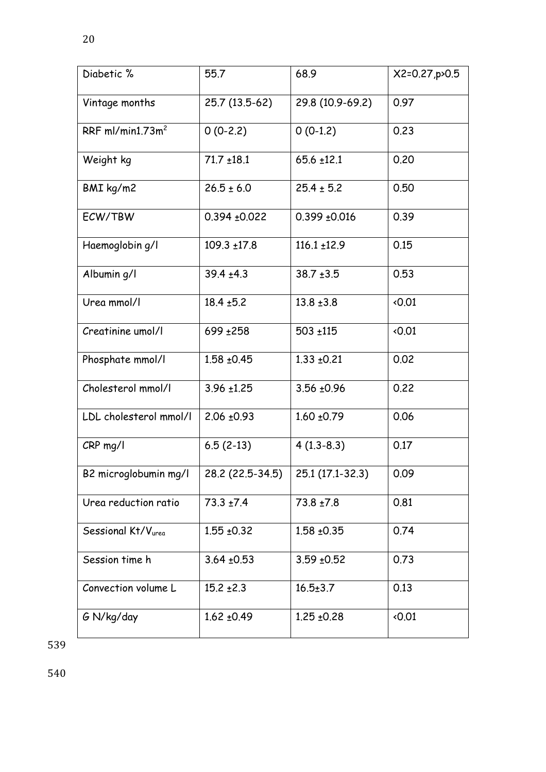| Diabetic %             | 55.7              | 68.9              | X2=0.27, p>0.5 |
|------------------------|-------------------|-------------------|----------------|
| Vintage months         | 25.7 (13.5-62)    | 29.8 (10.9-69.2)  | 0.97           |
| RRF $ml/min1.73m2$     | $0(0-2.2)$        | $0(0-1.2)$        | 0.23           |
| Weight kg              | $71.7 \pm 18.1$   | $65.6 \pm 12.1$   | 0.20           |
| BMI kg/m2              | $26.5 \pm 6.0$    | $25.4 \pm 5.2$    | 0.50           |
| ECW/TBW                | $0.394 \pm 0.022$ | $0.399 \pm 0.016$ | 0.39           |
| Haemoglobin g/l        | $109.3 \pm 17.8$  | $116.1 \pm 12.9$  | 0.15           |
| Albumin g/l            | $39.4 \pm 4.3$    | $38.7 + 3.5$      | 0.53           |
| Urea mmol/l            | $18.4 \pm 5.2$    | $13.8 \pm 3.8$    | 0.01           |
| Creatinine umol/l      | 699 ± 258         | $503 + 115$       | 0.01           |
| Phosphate mmol/l       | $1.58 + 0.45$     | $1.33 + 0.21$     | 0.02           |
| Cholesterol mmol/l     | $3.96 \pm 1.25$   | 3.56 ±0.96        | 0.22           |
| LDL cholesterol mmol/l | $2.06 \pm 0.93$   | $1.60 \pm 0.79$   | 0.06           |
| CRP mg/l               | $6.5(2-13)$       | $4(1.3-8.3)$      | 0.17           |
| B2 microglobumin mg/l  | 28.2 (22.5-34.5)  | 25.1 (17.1-32.3)  | 0.09           |
| Urea reduction ratio   | $73.3 \pm 7.4$    | $73.8 \pm 7.8$    | 0.81           |
| Sessional Kt/Vurea     | $1.55 \pm 0.32$   | $1.58 + 0.35$     | 0.74           |
| Session time h         | $3.64 \pm 0.53$   | $3.59 + 0.52$     | 0.73           |
| Convection volume L    | $15.2 \pm 2.3$    | $16.5 \pm 3.7$    | 0.13           |
| G N/kg/day             | $1.62 \pm 0.49$   | $1.25 \pm 0.28$   | 0.01           |